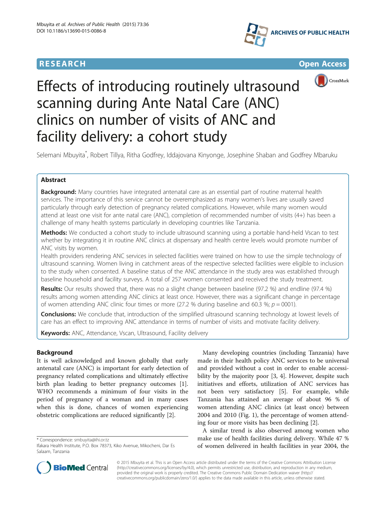





# Effects of introducing routinely ultrasound scanning during Ante Natal Care (ANC) clinics on number of visits of ANC and facility delivery: a cohort study

Selemani Mbuyita\* , Robert Tillya, Ritha Godfrey, Iddajovana Kinyonge, Josephine Shaban and Godfrey Mbaruku

# Abstract

**Background:** Many countries have integrated antenatal care as an essential part of routine maternal health services. The importance of this service cannot be overemphasized as many women's lives are usually saved particularly through early detection of pregnancy related complications. However, while many women would attend at least one visit for ante natal care (ANC), completion of recommended number of visits (4+) has been a challenge of many health systems particularly in developing countries like Tanzania.

Methods: We conducted a cohort study to include ultrasound scanning using a portable hand-held Vscan to test whether by integrating it in routine ANC clinics at dispensary and health centre levels would promote number of ANC visits by women.

Health providers rendering ANC services in selected facilities were trained on how to use the simple technology of ultrasound scanning. Women living in catchment areas of the respective selected facilities were eligible to inclusion to the study when consented. A baseline status of the ANC attendance in the study area was established through baseline household and facility surveys. A total of 257 women consented and received the study treatment.

Results: Our results showed that, there was no a slight change between baseline (97.2 %) and endline (97.4 %) results among women attending ANC clinics at least once. However, there was a significant change in percentage of women attending ANC clinic four times or more (27.2 % during baseline and 60.3 %;  $p = 0001$ ).

**Conclusions:** We conclude that, introduction of the simplified ultrasound scanning technology at lowest levels of care has an effect to improving ANC attendance in terms of number of visits and motivate facility delivery.

Keywords: ANC, Attendance, Vscan, Ultrasound, Facility delivery

# Background

It is well acknowledged and known globally that early antenatal care (ANC) is important for early detection of pregnancy related complications and ultimately effective birth plan leading to better pregnancy outcomes [\[1](#page-5-0)]. WHO recommends a minimum of four visits in the period of pregnancy of a woman and in many cases when this is done, chances of women experiencing obstetric complications are reduced significantly [[2\]](#page-5-0).

\* Correspondence: [smbuyita@ihi.or.tz](mailto:smbuyita@ihi.or.tz)

Many developing countries (including Tanzania) have made in their health policy ANC services to be universal and provided without a cost in order to enable accessibility by the majority poor [\[3](#page-5-0), [4](#page-5-0)]. However, despite such initiatives and efforts, utilization of ANC services has not been very satisfactory [[5\]](#page-5-0). For example, while Tanzania has attained an average of about 96 % of women attending ANC clinics (at least once) between 2004 and 2010 (Fig. [1\)](#page-1-0), the percentage of women attending four or more visits has been declining [\[2](#page-5-0)].

A similar trend is also observed among women who make use of health facilities during delivery. While 47 % of women delivered in health facilities in year 2004, the



© 2015 Mbuyita et al. This is an Open Access article distributed under the terms of the Creative Commons Attribution License [\(http://creativecommons.org/licenses/by/4.0\)](http://creativecommons.org/licenses/by/4.0), which permits unrestricted use, distribution, and reproduction in any medium, provided the original work is properly credited. The Creative Commons Public Domain Dedication waiver [\(http://](http://creativecommons.org/publicdomain/zero/1.0/) [creativecommons.org/publicdomain/zero/1.0/\)](http://creativecommons.org/publicdomain/zero/1.0/) applies to the data made available in this article, unless otherwise stated.

Ifakara Health Institute, P.O. Box 78373, Kiko Avenue, Mikocheni, Dar Es Salaam, Tanzania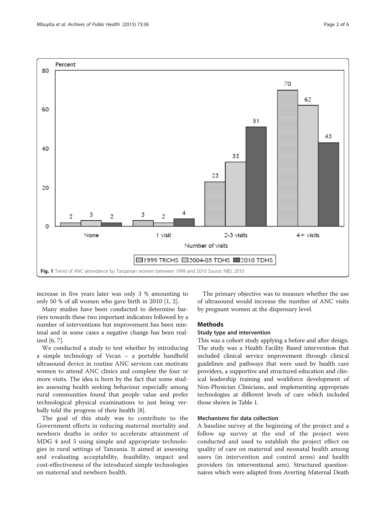<span id="page-1-0"></span>

increase in five years later was only 3 % amounting to only 50 % of all women who gave birth in 2010 [\[1](#page-5-0), [2](#page-5-0)].

Many studies have been conducted to determine barriers towards these two important indicators followed by a number of interventions but improvement has been minimal and in some cases a negative change has been realized [[6](#page-5-0), [7\]](#page-5-0).

We conducted a study to test whether by introducing a simple technology of Vscan – a portable handheld ultrasound device in routine ANC services can motivate women to attend ANC clinics and complete the four or more visits. The idea is born by the fact that some studies assessing health seeking behaviour especially among rural communities found that people value and prefer technological physical examinations to just being verbally told the progress of their health [\[8\]](#page-5-0).

The goal of this study was to contribute to the Government efforts in reducing maternal mortality and newborn deaths in order to accelerate attainment of MDG 4 and 5 using simple and appropriate technologies in rural settings of Tanzania. It aimed at assessing and evaluating acceptability, feasibility, impact and cost-effectiveness of the introduced simple technologies on maternal and newborn health.

The primary objective was to measure whether the use of ultrasound would increase the number of ANC visits by pregnant women at the dispensary level.

# **Methods**

# Study type and intervention

This was a cohort study applying a before and after design. The study was a Health Facility Based intervention that included clinical service improvement through clinical guidelines and pathways that were used by health care providers, a supportive and structured education and clinical leadership training and workforce development of Non-Physician Clinicians, and implementing appropriate technologies at different levels of care which included those shown in Table [1.](#page-2-0)

# Mechanisms for data collection

A baseline survey at the beginning of the project and a follow up survey at the end of the project were conducted and used to establish the project effect on quality of care on maternal and neonatal health among users (in intervention and control arms) and health providers (in interventional arm). Structured questionnaires which were adapted from Averting Maternal Death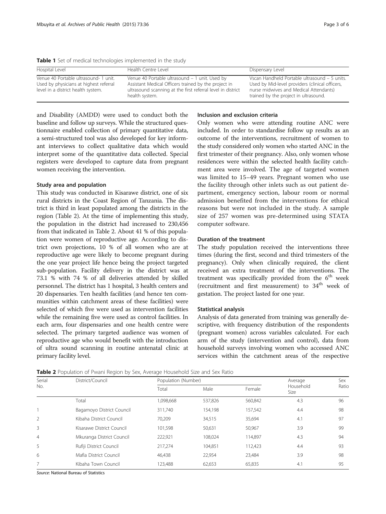<span id="page-2-0"></span>Table 1 Set of medical technologies implemented in the study

| Hospital Level                                                                                                        | Health Centre Level                                                                                                                                                                     | Dispensary Level                                                                                                                                                                    |
|-----------------------------------------------------------------------------------------------------------------------|-----------------------------------------------------------------------------------------------------------------------------------------------------------------------------------------|-------------------------------------------------------------------------------------------------------------------------------------------------------------------------------------|
| Venue 40 Portable ultrasound- 1 unit.<br>Used by physicians at highest referral<br>level in a district health system. | Venue 40 Portable ultrasound - 1 unit. Used by<br>Assistant Medical Officers trained by the project in<br>ultrasound scanning at the first referral level in district<br>health system. | Vscan Handheld Portable ultrasound - 5 units.<br>Used by Mid-level providers (clinical officers,<br>nurse midwives and Medical Attendants)<br>trained by the project in ultrasound. |

and Disability (AMDD) were used to conduct both the baseline and follow up surveys. While the structured questionnaire enabled collection of primary quantitative data, a semi-structured tool was also developed for key informant interviews to collect qualitative data which would interpret some of the quantitative data collected. Special registers were developed to capture data from pregnant women receiving the intervention.

#### Study area and population

This study was conducted in Kisarawe district, one of six rural districts in the Coast Region of Tanzania. The district is third in least populated among the districts in the region (Table 2). At the time of implementing this study, the population in the district had increased to 230,456 from that indicated in Table 2. About 41 % of this population were women of reproductive age. According to district own projections, 10 % of all women who are at reproductive age were likely to become pregnant during the one year project life hence being the project targeted sub-population. Facility delivery in the district was at 73.1 % with 74 % of all deliveries attended by skilled personnel. The district has 1 hospital, 3 health centers and 20 dispensaries. Ten health facilities (and hence ten communities within catchment areas of these facilities) were selected of which five were used as intervention facilities while the remaining five were used as control facilities. In each arm, four dispensaries and one health centre were selected. The primary targeted audience was women of reproductive age who would benefit with the introduction of ultra sound scanning in routine antenatal clinic at primary facility level.

# Inclusion and exclusion criteria

Only women who were attending routine ANC were included. In order to standardise follow up results as an outcome of the interventions, recruitment of women to the study considered only women who started ANC in the first trimester of their pregnancy. Also, only women whose residences were within the selected health facility catchment area were involved. The age of targeted women was limited to 15–49 years. Pregnant women who use the facility through other inlets such as out patient department, emergency section, labour room or normal admission benefited from the interventions for ethical reasons but were not included in the study. A sample size of 257 women was pre-determined using STATA computer software.

#### Duration of the treatment

The study population received the interventions three times (during the first, second and third trimesters of the pregnancy). Only when clinically required, the client received an extra treatment of the interventions. The treatment was specifically provided from the  $6<sup>th</sup>$  week (recruitment and first measurement) to  $34<sup>th</sup>$  week of gestation. The project lasted for one year.

# Statistical analysis

Analysis of data generated from training was generally descriptive, with frequency distribution of the respondents (pregnant women) across variables calculated. For each arm of the study (intervention and control), data from household surveys involving women who accessed ANC services within the catchment areas of the respective

Table 2 Population of Pwani Region by Sex, Average Household Size and Sex Ratio

| Serial<br>No.  | District/Council          | Population (Number) |         | Average | Sex               |       |
|----------------|---------------------------|---------------------|---------|---------|-------------------|-------|
|                |                           | Total               | Male    | Female  | Household<br>Size | Ratio |
|                | Total                     | 1,098,668           | 537,826 | 560,842 | 4.3               | 96    |
|                | Bagamoyo District Council | 311.740             | 154.198 | 157,542 | 4.4               | 98    |
| 2              | Kibaha District Council   | 70,209              | 34,515  | 35,694  | 4.1               | 97    |
| 3              | Kisarawe District Council | 101,598             | 50,631  | 50,967  | 3.9               | 99    |
| $\overline{4}$ | Mkuranga District Council | 222,921             | 108,024 | 114,897 | 4.3               | 94    |
| 5              | Rufiji District Council   | 217.274             | 104,851 | 112,423 | 4.4               | 93    |
| 6              | Mafia District Council    | 46.438              | 22,954  | 23,484  | 3.9               | 98    |
|                | Kibaha Town Council       | 123,488             | 62,653  | 65,835  | 4.1               | 95    |

Source: National Bureau of Statistics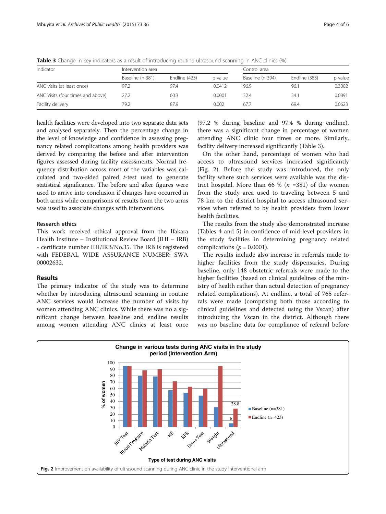| Indicator                         | Intervention area | Control area  |         |                  |               |         |
|-----------------------------------|-------------------|---------------|---------|------------------|---------------|---------|
|                                   | Baseline (n-381)  | Endline (423) | p-value | Baseline (n-394) | Endline (383) | p-value |
| ANC visits (at least once)        | 97.2              | 97.4          | 0.0412  | 96.9             | 96.1          | 0.3002  |
| ANC Visits (four times and above) | 27.2              | 60.3          | 0.0001  | 32.4             | 34.1          | 0.0891  |
| Facility delivery                 | 79.2              | 87.9          | 0.002   | 67.7             | 69.4          | 0.0623  |

Table 3 Change in key indicators as a result of introducing routine ultrasound scanning in ANC clinics (%)

health facilities were developed into two separate data sets and analysed separately. Then the percentage change in the level of knowledge and confidence in assessing pregnancy related complications among health providers was derived by comparing the before and after intervention figures assessed during facility assessments. Normal frequency distribution across most of the variables was calculated and two-sided paired  $t$ -test used to generate statistical significance. The before and after figures were used to arrive into conclusion if changes have occurred in both arms while comparisons of results from the two arms was used to associate changes with interventions.

#### Research ethics

This work received ethical approval from the Ifakara Health Institute – Institutional Review Board (IHI – IRB) - certificate number IHI/IRB/No.35. The IRB is registered with FEDERAL WIDE ASSURANCE NUMBER: SWA 00002632.

# Results

The primary indicator of the study was to determine whether by introducing ultrasound scanning in routine ANC services would increase the number of visits by women attending ANC clinics. While there was no a significant change between baseline and endline results among women attending ANC clinics at least once

(97.2 % during baseline and 97.4 % during endline), there was a significant change in percentage of women attending ANC clinic four times or more. Similarly, facility delivery increased significantly (Table 3).

On the other hand, percentage of women who had access to ultrasound services increased significantly (Fig. 2). Before the study was introduced, the only facility where such services were available was the district hospital. More than 66 % ( $n = 381$ ) of the women from the study area used to traveling between 5 and 78 km to the district hospital to access ultrasound services when referred to by health providers from lower health facilities.

The results from the study also demonstrated increase (Tables [4](#page-4-0) and [5\)](#page-4-0) in confidence of mid-level providers in the study facilities in determining pregnancy related complications ( $p = 0.0001$ ).

The results include also increase in referrals made to higher facilities from the study dispensaries. During baseline, only 148 obstetric referrals were made to the higher facilities (based on clinical guidelines of the ministry of health rather than actual detection of pregnancy related complications). At endline, a total of 765 referrals were made (comprising both those according to clinical guidelines and detected using the Vscan) after introducing the Vscan in the district. Although there was no baseline data for compliance of referral before

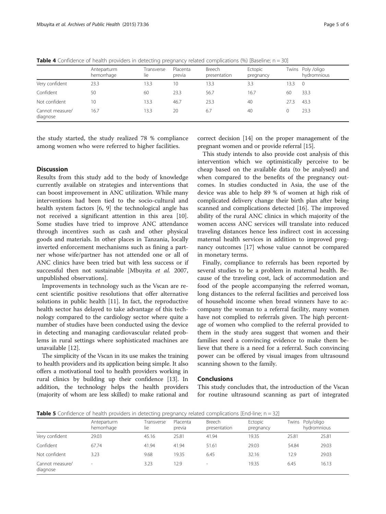|                             | Anteparturm<br>hemorrhage | Transverse<br>lie | Placenta<br>previa | Breech<br>presentation | Ectopic<br>pregnancy |      | Twins Poly /oligo<br>hydromnious |
|-----------------------------|---------------------------|-------------------|--------------------|------------------------|----------------------|------|----------------------------------|
| Very confident              | 23.3                      | 13.3              | 10                 | 13.3                   | 3.3                  | 13.3 | $\overline{0}$                   |
| Confident                   | 50                        | 60                | 23.3               | 56.7                   | 16.7                 | 60   | 33.3                             |
| Not confident               | 10                        | 13.3              | 46.7               | 23.3                   | 40                   | 27.3 | 43.3                             |
| Cannot measure/<br>diagnose | 16.7                      | 13.3              | 20                 | 6.7                    | 40                   | 0    | 23.3                             |

<span id="page-4-0"></span>**Table 4** Confidence of health providers in detecting pregnancy related complications (%) [Baseline;  $n = 30$ ]

the study started, the study realized 78 % compliance among women who were referred to higher facilities.

#### **Discussion**

Results from this study add to the body of knowledge currently available on strategies and interventions that can boost improvement in ANC utilization. While many interventions had been tied to the socio-cultural and health system factors [[6](#page-5-0), [9\]](#page-5-0) the technological angle has not received a significant attention in this area [\[10](#page-5-0)]. Some studies have tried to improve ANC attendance through incentives such as cash and other physical goods and materials. In other places in Tanzania, locally inverted enforcement mechanisms such as fining a partner whose wife/partner has not attended one or all of ANC clinics have been tried but with less success or if successful then not sustainable [Mbuyita et al. 2007, unpublished observations].

Improvements in technology such as the Vscan are recent scientific positive resolutions that offer alternative solutions in public health [\[11\]](#page-5-0). In fact, the reproductive health sector has delayed to take advantage of this technology compared to the cardiology sector where quite a number of studies have been conducted using the device in detecting and managing cardiovascular related problems in rural settings where sophisticated machines are unavailable [\[12](#page-5-0)].

The simplicity of the Vscan in its use makes the training to health providers and its application being simple. It also offers a motivational tool to health providers working in rural clinics by building up their confidence [\[13\]](#page-5-0). In addition, the technology helps the health providers (majority of whom are less skilled) to make rational and

correct decision [[14](#page-5-0)] on the proper management of the pregnant women and or provide referral [\[15\]](#page-5-0).

This study intends to also provide cost analysis of this intervention which we optimistically perceive to be cheap based on the available data (to be analysed) and when compared to the benefits of the pregnancy outcomes. In studies conducted in Asia, the use of the device was able to help 89 % of women at high risk of complicated delivery change their birth plan after being scanned and complications detected [\[16](#page-5-0)]. The improved ability of the rural ANC clinics in which majority of the women access ANC services will translate into reduced traveling distances hence less indirect cost in accessing maternal health services in addition to improved pregnancy outcomes [[17\]](#page-5-0) whose value cannot be compared in monetary terms.

Finally, compliance to referrals has been reported by several studies to be a problem in maternal health. Because of the traveling cost, lack of accommodation and food of the people accompanying the referred woman, long distances to the referral facilities and perceived loss of household income when bread winners have to accompany the woman to a referral facility, many women have not complied to referrals given. The high percentage of women who complied to the referral provided to them in the study area suggest that women and their families need a convincing evidence to make them believe that there is a need for a referral. Such convincing power can be offered by visual images from ultrasound scanning shown to the family.

#### Conclusions

This study concludes that, the introduction of the Vscan for routine ultrasound scanning as part of integrated

**Table 5** Confidence of health providers in detecting pregnancy related complications [End-line;  $n = 32$ ]

|                             | Anteparturm<br>hemorrhage | Transverse<br>lie | Placenta<br>previa | Breech<br>presentation | Ectopic<br>pregnancy | Twins | Poly/oligo<br>hydromnious |
|-----------------------------|---------------------------|-------------------|--------------------|------------------------|----------------------|-------|---------------------------|
| Very confident              | 29.03                     | 45.16             | 25.81              | 41.94                  | 19.35                | 25.81 | 25.81                     |
| Confident                   | 67.74                     | 41.94             | 41.94              | 51.61                  | 29.03                | 54.84 | 29.03                     |
| Not confident               | 3.23                      | 9.68              | 19.35              | 6.45                   | 32.16                | 12.9  | 29.03                     |
| Cannot measure/<br>diagnose | $\sim$                    | 3.23              | 12.9               | $\sim$                 | 19.35                | 6.45  | 16.13                     |